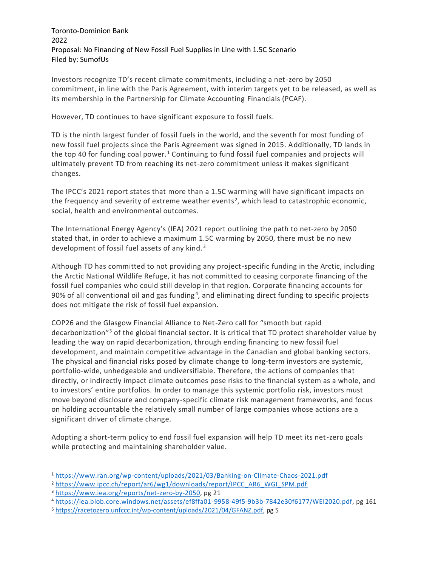Toronto-Dominion Bank 2022 Proposal: No Financing of New Fossil Fuel Supplies in Line with 1.5C Scenario Filed by: SumofUs

Investors recognize TD's recent climate commitments, including a net-zero by 2050 commitment, in line with the Paris Agreement, with interim targets yet to be released, as well as its membership in the Partnership for Climate Accounting Financials (PCAF).

However, TD continues to have significant exposure to fossil fuels.

TD is the ninth largest funder of fossil fuels in the world, and the seventh for most funding of new fossil fuel projects since the Paris Agreement was signed in 2015. Additionally, TD lands in the top 40 for funding coal power.<sup>1</sup> Continuing to fund fossil fuel companies and projects will ultimately prevent TD from reaching its net-zero commitment unless it makes significant changes.

The IPCC's 2021 report states that more than a 1.5C warming will have significant impacts on the frequency and severity of extreme weather events<sup>2</sup>, which lead to catastrophic economic, social, health and environmental outcomes.

The International Energy Agency's (IEA) 2021 report outlining the path to net-zero by 2050 stated that, in order to achieve a maximum 1.5C warming by 2050, there must be no new development of fossil fuel assets of any kind. <sup>3</sup>

Although TD has committed to not providing any project-specific funding in the Arctic, including the Arctic National Wildlife Refuge, it has not committed to ceasing corporate financing of the fossil fuel companies who could still develop in that region. Corporate financing accounts for 90% of all conventional oil and gas funding<sup>4</sup>, and eliminating direct funding to specific projects does not mitigate the risk of fossil fuel expansion.

COP26 and the Glasgow Financial Alliance to Net-Zero call for "smooth but rapid decarbonization"<sup>5</sup> of the global financial sector. It is critical that TD protect shareholder value by leading the way on rapid decarbonization, through ending financing to new fossil fuel development, and maintain competitive advantage in the Canadian and global banking sectors. The physical and financial risks posed by climate change to long-term investors are systemic, portfolio-wide, unhedgeable and undiversifiable. Therefore, the actions of companies that directly, or indirectly impact climate outcomes pose risks to the financial system as a whole, and to investors' entire portfolios. In order to manage this systemic portfolio risk, investors must move beyond disclosure and company-specific climate risk management frameworks, and focus on holding accountable the relatively small number of large companies whose actions are a significant driver of climate change.

Adopting a short-term policy to end fossil fuel expansion will help TD meet its net-zero goals while protecting and maintaining shareholder value.

<sup>1</sup> <https://www.ran.org/wp-content/uploads/2021/03/Banking-on-Climate-Chaos-2021.pdf>

<sup>2</sup> [https://www.ipcc.ch/report/ar6/wg1/downloads/report/IPCC\\_AR6\\_WGI\\_SPM.pdf](https://www.ipcc.ch/report/ar6/wg1/downloads/report/IPCC_AR6_WGI_SPM.pdf)

<sup>3</sup> [https://www.iea.org/reports/net-zero-by-2050,](https://www.iea.org/reports/net-zero-by-2050) pg 21

<sup>4</sup> [https://iea.blob.core.windows.net/assets/ef8ffa01-9958-49f5-9b3b-7842e30f6177/WEI2020.pdf,](https://iea.blob.core.windows.net/assets/ef8ffa01-9958-49f5-9b3b-7842e30f6177/WEI2020.pdf) pg 161

<sup>5</sup> [https://racetozero.unfccc.int/wp-content/uploads/2021/04/GFANZ.pdf,](https://racetozero.unfccc.int/wp-content/uploads/2021/04/GFANZ.pdf) pg 5